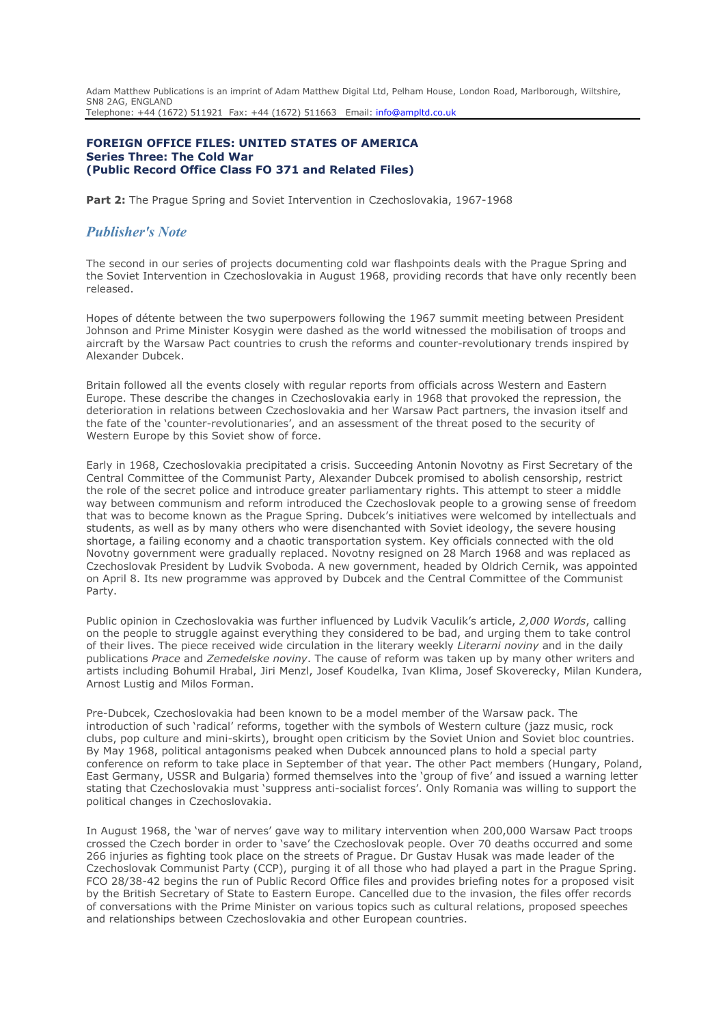Adam Matthew Publications is an imprint of Adam Matthew Digital Ltd, Pelham House, London Road, Marlborough, Wiltshire, SN8 2AG, ENGLAND Telephone: +44 (1672) 511921 Fax: +44 (1672) 511663 Email: [info@ampltd.co.uk](mailto:info@ampltd.co.uk)

## **FOREIGN OFFICE FILES: UNITED STATES OF AMERICA Series Three: The Cold War (Public Record Office Class FO 371 and Related Files)**

**Part 2:** The Prague Spring and Soviet Intervention in Czechoslovakia, 1967-1968

# *Publisher's Note*

The second in our series of projects documenting cold war flashpoints deals with the Prague Spring and the Soviet Intervention in Czechoslovakia in August 1968, providing records that have only recently been released.

Hopes of détente between the two superpowers following the 1967 summit meeting between President Johnson and Prime Minister Kosygin were dashed as the world witnessed the mobilisation of troops and aircraft by the Warsaw Pact countries to crush the reforms and counter-revolutionary trends inspired by Alexander Dubcek.

Britain followed all the events closely with regular reports from officials across Western and Eastern Europe. These describe the changes in Czechoslovakia early in 1968 that provoked the repression, the deterioration in relations between Czechoslovakia and her Warsaw Pact partners, the invasion itself and the fate of the 'counter-revolutionaries', and an assessment of the threat posed to the security of Western Europe by this Soviet show of force.

Early in 1968, Czechoslovakia precipitated a crisis. Succeeding Antonin Novotny as First Secretary of the Central Committee of the Communist Party, Alexander Dubcek promised to abolish censorship, restrict the role of the secret police and introduce greater parliamentary rights. This attempt to steer a middle way between communism and reform introduced the Czechoslovak people to a growing sense of freedom that was to become known as the Prague Spring. Dubcek's initiatives were welcomed by intellectuals and students, as well as by many others who were disenchanted with Soviet ideology, the severe housing shortage, a failing economy and a chaotic transportation system. Key officials connected with the old Novotny government were gradually replaced. Novotny resigned on 28 March 1968 and was replaced as Czechoslovak President by Ludvik Svoboda. A new government, headed by Oldrich Cernik, was appointed on April 8. Its new programme was approved by Dubcek and the Central Committee of the Communist Party.

Public opinion in Czechoslovakia was further influenced by Ludvik Vaculik's article, *2,000 Words*, calling on the people to struggle against everything they considered to be bad, and urging them to take control of their lives. The piece received wide circulation in the literary weekly *Literarni noviny* and in the daily publications *Prace* and *Zemedelske noviny*. The cause of reform was taken up by many other writers and artists including Bohumil Hrabal, Jiri Menzl, Josef Koudelka, Ivan Klima, Josef Skoverecky, Milan Kundera, Arnost Lustig and Milos Forman.

Pre-Dubcek, Czechoslovakia had been known to be a model member of the Warsaw pack. The introduction of such 'radical' reforms, together with the symbols of Western culture (jazz music, rock clubs, pop culture and mini-skirts), brought open criticism by the Soviet Union and Soviet bloc countries. By May 1968, political antagonisms peaked when Dubcek announced plans to hold a special party conference on reform to take place in September of that year. The other Pact members (Hungary, Poland, East Germany, USSR and Bulgaria) formed themselves into the 'group of five' and issued a warning letter stating that Czechoslovakia must 'suppress anti-socialist forces'. Only Romania was willing to support the political changes in Czechoslovakia.

In August 1968, the 'war of nerves' gave way to military intervention when 200,000 Warsaw Pact troops crossed the Czech border in order to 'save' the Czechoslovak people. Over 70 deaths occurred and some 266 injuries as fighting took place on the streets of Prague. Dr Gustav Husak was made leader of the Czechoslovak Communist Party (CCP), purging it of all those who had played a part in the Prague Spring. FCO 28/38-42 begins the run of Public Record Office files and provides briefing notes for a proposed visit by the British Secretary of State to Eastern Europe. Cancelled due to the invasion, the files offer records of conversations with the Prime Minister on various topics such as cultural relations, proposed speeches and relationships between Czechoslovakia and other European countries.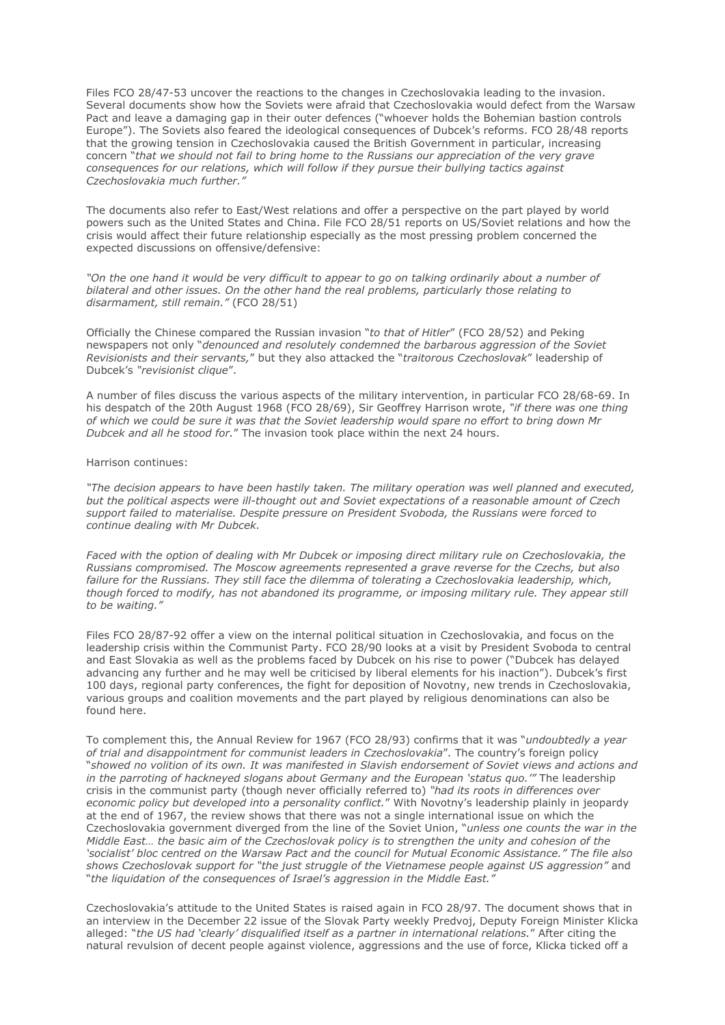Files FCO 28/47-53 uncover the reactions to the changes in Czechoslovakia leading to the invasion. Several documents show how the Soviets were afraid that Czechoslovakia would defect from the Warsaw Pact and leave a damaging gap in their outer defences ("whoever holds the Bohemian bastion controls Europe"). The Soviets also feared the ideological consequences of Dubcek's reforms. FCO 28/48 reports that the growing tension in Czechoslovakia caused the British Government in particular, increasing concern "*that we should not fail to bring home to the Russians our appreciation of the very grave consequences for our relations, which will follow if they pursue their bullying tactics against Czechoslovakia much further."* 

The documents also refer to East/West relations and offer a perspective on the part played by world powers such as the United States and China. File FCO 28/51 reports on US/Soviet relations and how the crisis would affect their future relationship especially as the most pressing problem concerned the expected discussions on offensive/defensive:

*"On the one hand it would be very difficult to appear to go on talking ordinarily about a number of bilateral and other issues. On the other hand the real problems, particularly those relating to disarmament, still remain."* (FCO 28/51)

Officially the Chinese compared the Russian invasion "*to that of Hitler*" (FCO 28/52) and Peking newspapers not only "*denounced and resolutely condemned the barbarous aggression of the Soviet Revisionists and their servants,*" but they also attacked the "*traitorous Czechoslovak*" leadership of Dubcek's *"revisionist clique*".

A number of files discuss the various aspects of the military intervention, in particular FCO 28/68-69. In his despatch of the 20th August 1968 (FCO 28/69), Sir Geoffrey Harrison wrote, *"if there was one thing of which we could be sure it was that the Soviet leadership would spare no effort to bring down Mr Dubcek and all he stood for.*" The invasion took place within the next 24 hours.

## Harrison continues:

*"The decision appears to have been hastily taken. The military operation was well planned and executed, but the political aspects were ill-thought out and Soviet expectations of a reasonable amount of Czech support failed to materialise. Despite pressure on President Svoboda, the Russians were forced to continue dealing with Mr Dubcek.*

*Faced with the option of dealing with Mr Dubcek or imposing direct military rule on Czechoslovakia, the Russians compromised. The Moscow agreements represented a grave reverse for the Czechs, but also failure for the Russians. They still face the dilemma of tolerating a Czechoslovakia leadership, which, though forced to modify, has not abandoned its programme, or imposing military rule. They appear still to be waiting."*

Files FCO 28/87-92 offer a view on the internal political situation in Czechoslovakia, and focus on the leadership crisis within the Communist Party. FCO 28/90 looks at a visit by President Svoboda to central and East Slovakia as well as the problems faced by Dubcek on his rise to power ("Dubcek has delayed advancing any further and he may well be criticised by liberal elements for his inaction"). Dubcek's first 100 days, regional party conferences, the fight for deposition of Novotny, new trends in Czechoslovakia, various groups and coalition movements and the part played by religious denominations can also be found here.

To complement this, the Annual Review for 1967 (FCO 28/93) confirms that it was "*undoubtedly a year of trial and disappointment for communist leaders in Czechoslovakia*". The country's foreign policy "*showed no volition of its own. It was manifested in Slavish endorsement of Soviet views and actions and in the parroting of hackneyed slogans about Germany and the European 'status quo.'"* The leadership crisis in the communist party (though never officially referred to) *"had its roots in differences over economic policy but developed into a personality conflict.*" With Novotny's leadership plainly in jeopardy at the end of 1967, the review shows that there was not a single international issue on which the Czechoslovakia government diverged from the line of the Soviet Union, "*unless one counts the war in the Middle East… the basic aim of the Czechoslovak policy is to strengthen the unity and cohesion of the 'socialist' bloc centred on the Warsaw Pact and the council for Mutual Economic Assistance." The file also shows Czechoslovak support for "the just struggle of the Vietnamese people against US aggression"* and "*the liquidation of the consequences of Israel's aggression in the Middle East."*

Czechoslovakia's attitude to the United States is raised again in FCO 28/97. The document shows that in an interview in the December 22 issue of the Slovak Party weekly Predvoj, Deputy Foreign Minister Klicka alleged: "*the US had 'clearly' disqualified itself as a partner in international relations.*" After citing the natural revulsion of decent people against violence, aggressions and the use of force, Klicka ticked off a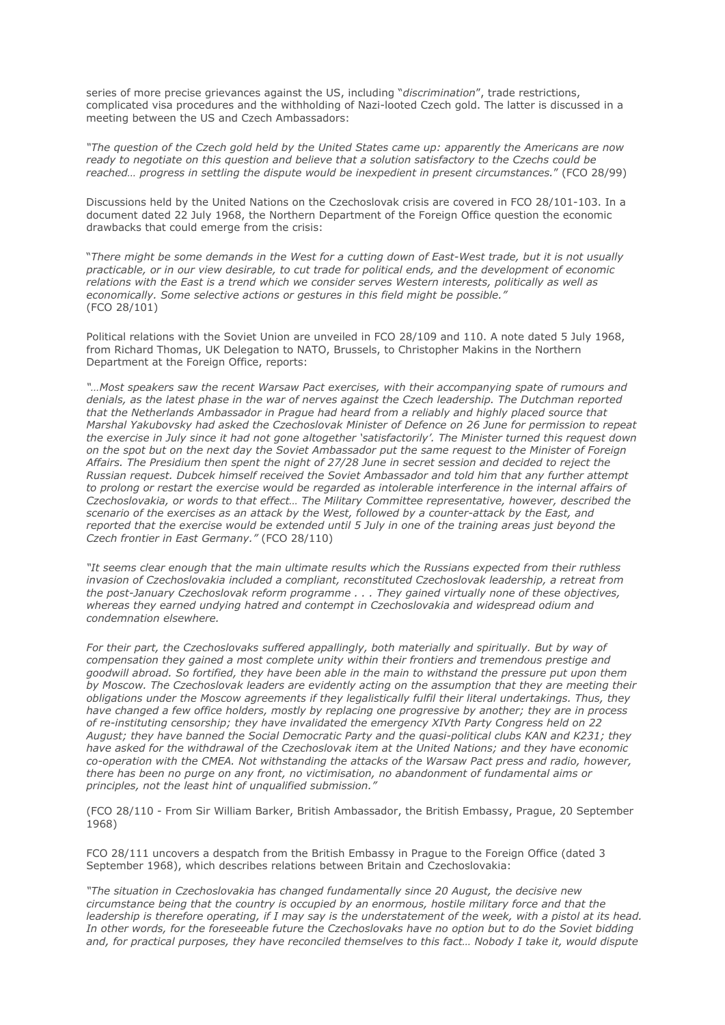series of more precise grievances against the US, including "*discrimination*", trade restrictions, complicated visa procedures and the withholding of Nazi-looted Czech gold. The latter is discussed in a meeting between the US and Czech Ambassadors:

*"The question of the Czech gold held by the United States came up: apparently the Americans are now ready to negotiate on this question and believe that a solution satisfactory to the Czechs could be reached… progress in settling the dispute would be inexpedient in present circumstances.*" (FCO 28/99)

Discussions held by the United Nations on the Czechoslovak crisis are covered in FCO 28/101-103. In a document dated 22 July 1968, the Northern Department of the Foreign Office question the economic drawbacks that could emerge from the crisis:

"*There might be some demands in the West for a cutting down of East-West trade, but it is not usually practicable, or in our view desirable, to cut trade for political ends, and the development of economic relations with the East is a trend which we consider serves Western interests, politically as well as economically. Some selective actions or gestures in this field might be possible."*  (FCO 28/101)

Political relations with the Soviet Union are unveiled in FCO 28/109 and 110. A note dated 5 July 1968, from Richard Thomas, UK Delegation to NATO, Brussels, to Christopher Makins in the Northern Department at the Foreign Office, reports:

*"…Most speakers saw the recent Warsaw Pact exercises, with their accompanying spate of rumours and denials, as the latest phase in the war of nerves against the Czech leadership. The Dutchman reported that the Netherlands Ambassador in Prague had heard from a reliably and highly placed source that Marshal Yakubovsky had asked the Czechoslovak Minister of Defence on 26 June for permission to repeat the exercise in July since it had not gone altogether 'satisfactorily'. The Minister turned this request down on the spot but on the next day the Soviet Ambassador put the same request to the Minister of Foreign Affairs. The Presidium then spent the night of 27/28 June in secret session and decided to reject the Russian request. Dubcek himself received the Soviet Ambassador and told him that any further attempt to prolong or restart the exercise would be regarded as intolerable interference in the internal affairs of Czechoslovakia, or words to that effect… The Military Committee representative, however, described the scenario of the exercises as an attack by the West, followed by a counter-attack by the East, and reported that the exercise would be extended until 5 July in one of the training areas just beyond the Czech frontier in East Germany."* (FCO 28/110)

*"It seems clear enough that the main ultimate results which the Russians expected from their ruthless invasion of Czechoslovakia included a compliant, reconstituted Czechoslovak leadership, a retreat from the post-January Czechoslovak reform programme . . . They gained virtually none of these objectives, whereas they earned undying hatred and contempt in Czechoslovakia and widespread odium and condemnation elsewhere.*

*For their part, the Czechoslovaks suffered appallingly, both materially and spiritually. But by way of compensation they gained a most complete unity within their frontiers and tremendous prestige and goodwill abroad. So fortified, they have been able in the main to withstand the pressure put upon them by Moscow. The Czechoslovak leaders are evidently acting on the assumption that they are meeting their obligations under the Moscow agreements if they legalistically fulfil their literal undertakings. Thus, they have changed a few office holders, mostly by replacing one progressive by another; they are in process of re-instituting censorship; they have invalidated the emergency XIVth Party Congress held on 22 August; they have banned the Social Democratic Party and the quasi-political clubs KAN and K231; they have asked for the withdrawal of the Czechoslovak item at the United Nations; and they have economic co-operation with the CMEA. Not withstanding the attacks of the Warsaw Pact press and radio, however, there has been no purge on any front, no victimisation, no abandonment of fundamental aims or principles, not the least hint of unqualified submission."*

(FCO 28/110 - From Sir William Barker, British Ambassador, the British Embassy, Prague, 20 September 1968)

FCO 28/111 uncovers a despatch from the British Embassy in Prague to the Foreign Office (dated 3 September 1968), which describes relations between Britain and Czechoslovakia:

*"The situation in Czechoslovakia has changed fundamentally since 20 August, the decisive new circumstance being that the country is occupied by an enormous, hostile military force and that the leadership is therefore operating, if I may say is the understatement of the week, with a pistol at its head. In other words, for the foreseeable future the Czechoslovaks have no option but to do the Soviet bidding and, for practical purposes, they have reconciled themselves to this fact… Nobody I take it, would dispute*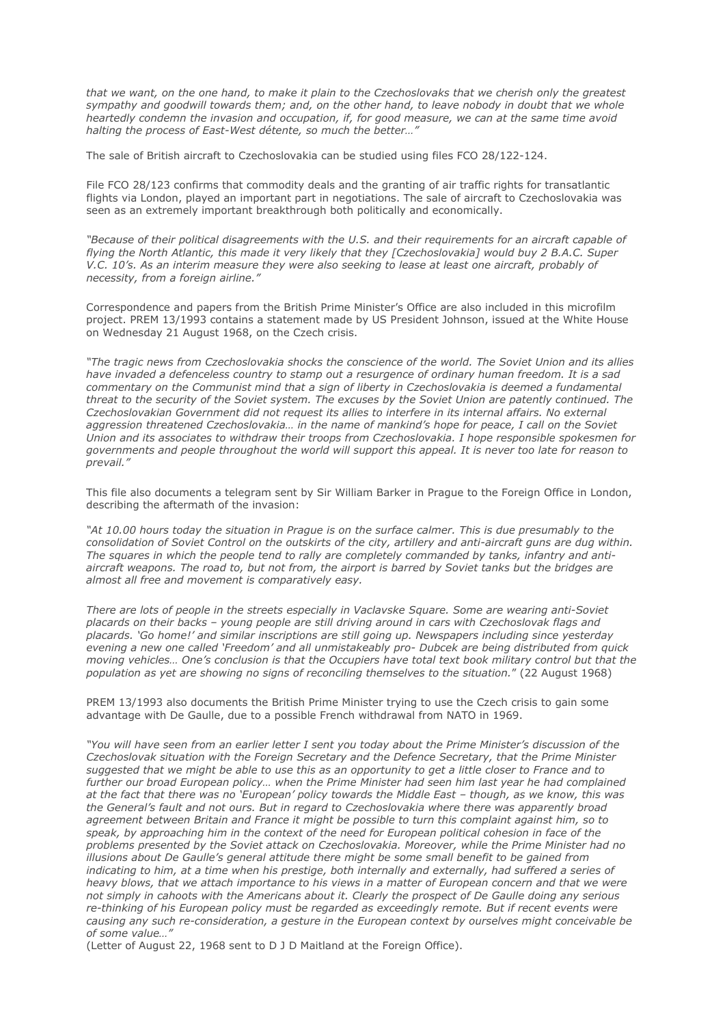*that we want, on the one hand, to make it plain to the Czechoslovaks that we cherish only the greatest sympathy and goodwill towards them; and, on the other hand, to leave nobody in doubt that we whole heartedly condemn the invasion and occupation, if, for good measure, we can at the same time avoid halting the process of East-West détente, so much the better…"*

The sale of British aircraft to Czechoslovakia can be studied using files FCO 28/122-124.

File FCO 28/123 confirms that commodity deals and the granting of air traffic rights for transatlantic flights via London, played an important part in negotiations. The sale of aircraft to Czechoslovakia was seen as an extremely important breakthrough both politically and economically.

*"Because of their political disagreements with the U.S. and their requirements for an aircraft capable of flying the North Atlantic, this made it very likely that they [Czechoslovakia] would buy 2 B.A.C. Super V.C. 10's. As an interim measure they were also seeking to lease at least one aircraft, probably of necessity, from a foreign airline."* 

Correspondence and papers from the British Prime Minister's Office are also included in this microfilm project. PREM 13/1993 contains a statement made by US President Johnson, issued at the White House on Wednesday 21 August 1968, on the Czech crisis.

*"The tragic news from Czechoslovakia shocks the conscience of the world. The Soviet Union and its allies have invaded a defenceless country to stamp out a resurgence of ordinary human freedom. It is a sad commentary on the Communist mind that a sign of liberty in Czechoslovakia is deemed a fundamental threat to the security of the Soviet system. The excuses by the Soviet Union are patently continued. The Czechoslovakian Government did not request its allies to interfere in its internal affairs. No external*  aggression threatened Czechoslovakia... in the name of mankind's hope for peace, I call on the Soviet *Union and its associates to withdraw their troops from Czechoslovakia. I hope responsible spokesmen for governments and people throughout the world will support this appeal. It is never too late for reason to prevail."*

This file also documents a telegram sent by Sir William Barker in Prague to the Foreign Office in London, describing the aftermath of the invasion:

*"At 10.00 hours today the situation in Prague is on the surface calmer. This is due presumably to the consolidation of Soviet Control on the outskirts of the city, artillery and anti-aircraft guns are dug within. The squares in which the people tend to rally are completely commanded by tanks, infantry and antiaircraft weapons. The road to, but not from, the airport is barred by Soviet tanks but the bridges are almost all free and movement is comparatively easy.*

*There are lots of people in the streets especially in Vaclavske Square. Some are wearing anti-Soviet placards on their backs – young people are still driving around in cars with Czechoslovak flags and placards. 'Go home!' and similar inscriptions are still going up. Newspapers including since yesterday evening a new one called 'Freedom' and all unmistakeably pro- Dubcek are being distributed from quick moving vehicles… One's conclusion is that the Occupiers have total text book military control but that the population as yet are showing no signs of reconciling themselves to the situation.*" (22 August 1968)

PREM 13/1993 also documents the British Prime Minister trying to use the Czech crisis to gain some advantage with De Gaulle, due to a possible French withdrawal from NATO in 1969.

*"You will have seen from an earlier letter I sent you today about the Prime Minister's discussion of the Czechoslovak situation with the Foreign Secretary and the Defence Secretary, that the Prime Minister suggested that we might be able to use this as an opportunity to get a little closer to France and to further our broad European policy… when the Prime Minister had seen him last year he had complained at the fact that there was no 'European' policy towards the Middle East – though, as we know, this was the General's fault and not ours. But in regard to Czechoslovakia where there was apparently broad agreement between Britain and France it might be possible to turn this complaint against him, so to speak, by approaching him in the context of the need for European political cohesion in face of the problems presented by the Soviet attack on Czechoslovakia. Moreover, while the Prime Minister had no illusions about De Gaulle's general attitude there might be some small benefit to be gained from indicating to him, at a time when his prestige, both internally and externally, had suffered a series of heavy blows, that we attach importance to his views in a matter of European concern and that we were not simply in cahoots with the Americans about it. Clearly the prospect of De Gaulle doing any serious*  re-thinking of his European policy must be regarded as exceedingly remote. But if recent events were *causing any such re-consideration, a gesture in the European context by ourselves might conceivable be of some value…"* 

(Letter of August 22, 1968 sent to D J D Maitland at the Foreign Office).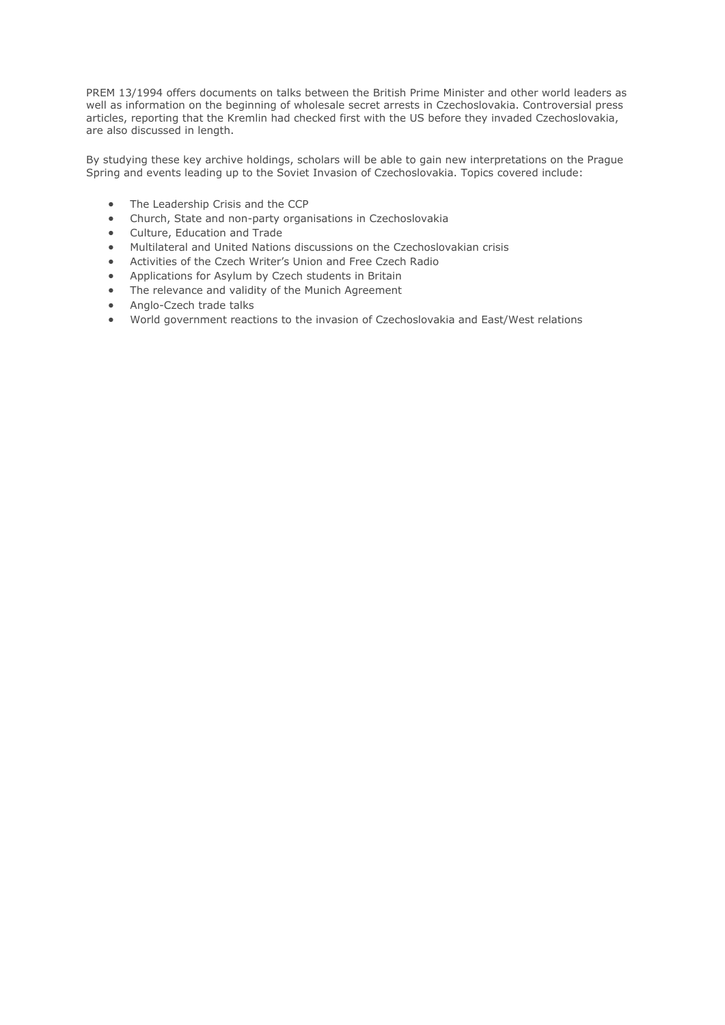PREM 13/1994 offers documents on talks between the British Prime Minister and other world leaders as well as information on the beginning of wholesale secret arrests in Czechoslovakia. Controversial press articles, reporting that the Kremlin had checked first with the US before they invaded Czechoslovakia, are also discussed in length.

By studying these key archive holdings, scholars will be able to gain new interpretations on the Prague Spring and events leading up to the Soviet Invasion of Czechoslovakia. Topics covered include:

- The Leadership Crisis and the CCP
- Church, State and non-party organisations in Czechoslovakia
- Culture, Education and Trade
- Multilateral and United Nations discussions on the Czechoslovakian crisis
- Activities of the Czech Writer's Union and Free Czech Radio
- Applications for Asylum by Czech students in Britain
- The relevance and validity of the Munich Agreement
- Anglo-Czech trade talks
- World government reactions to the invasion of Czechoslovakia and East/West relations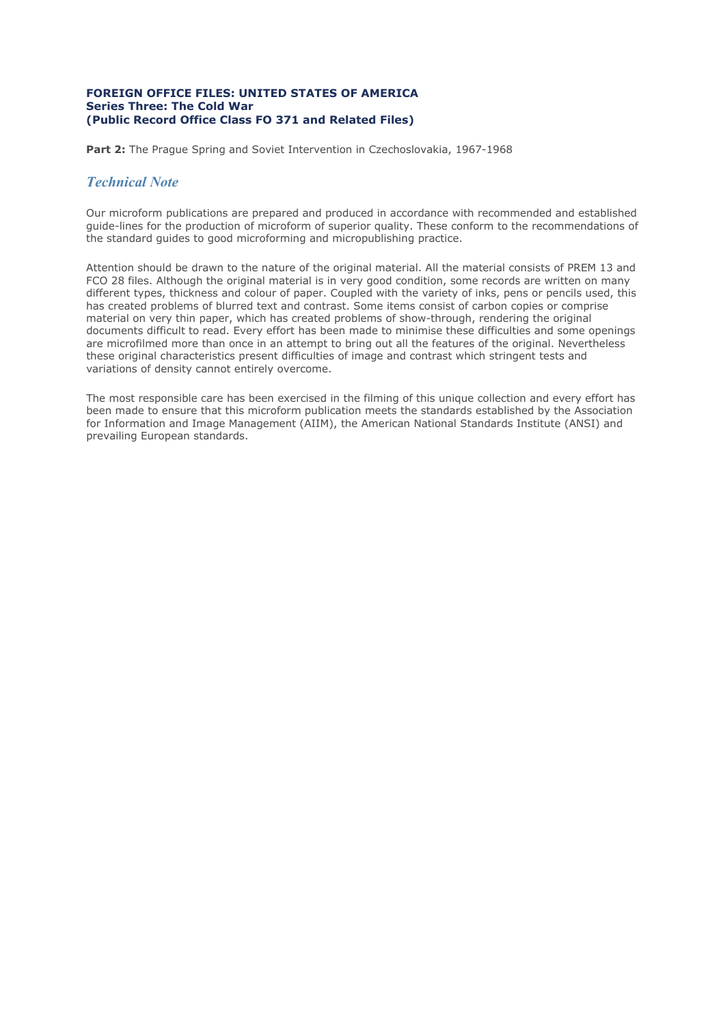## **FOREIGN OFFICE FILES: UNITED STATES OF AMERICA Series Three: The Cold War (Public Record Office Class FO 371 and Related Files)**

Part 2: The Prague Spring and Soviet Intervention in Czechoslovakia, 1967-1968

# *Technical Note*

Our microform publications are prepared and produced in accordance with recommended and established guide-lines for the production of microform of superior quality. These conform to the recommendations of the standard guides to good microforming and micropublishing practice.

Attention should be drawn to the nature of the original material. All the material consists of PREM 13 and FCO 28 files. Although the original material is in very good condition, some records are written on many different types, thickness and colour of paper. Coupled with the variety of inks, pens or pencils used, this has created problems of blurred text and contrast. Some items consist of carbon copies or comprise material on very thin paper, which has created problems of show-through, rendering the original documents difficult to read. Every effort has been made to minimise these difficulties and some openings are microfilmed more than once in an attempt to bring out all the features of the original. Nevertheless these original characteristics present difficulties of image and contrast which stringent tests and variations of density cannot entirely overcome.

The most responsible care has been exercised in the filming of this unique collection and every effort has been made to ensure that this microform publication meets the standards established by the Association for Information and Image Management (AIIM), the American National Standards Institute (ANSI) and prevailing European standards.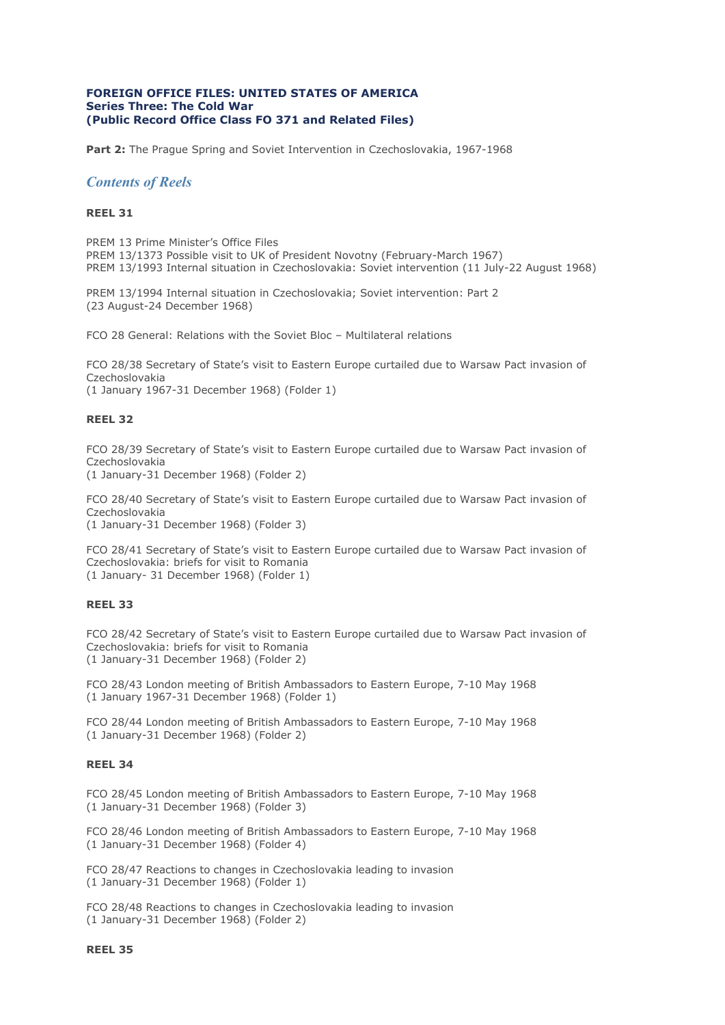## **FOREIGN OFFICE FILES: UNITED STATES OF AMERICA Series Three: The Cold War (Public Record Office Class FO 371 and Related Files)**

Part 2: The Prague Spring and Soviet Intervention in Czechoslovakia, 1967-1968

## *Contents of Reels*

## **REEL 31**

PREM 13 Prime Minister's Office Files PREM 13/1373 Possible visit to UK of President Novotny (February-March 1967) PREM 13/1993 Internal situation in Czechoslovakia: Soviet intervention (11 July-22 August 1968)

PREM 13/1994 Internal situation in Czechoslovakia; Soviet intervention: Part 2 (23 August-24 December 1968)

FCO 28 General: Relations with the Soviet Bloc – Multilateral relations

FCO 28/38 Secretary of State's visit to Eastern Europe curtailed due to Warsaw Pact invasion of Czechoslovakia

(1 January 1967-31 December 1968) (Folder 1)

#### **REEL 32**

FCO 28/39 Secretary of State's visit to Eastern Europe curtailed due to Warsaw Pact invasion of Czechoslovakia

(1 January-31 December 1968) (Folder 2)

FCO 28/40 Secretary of State's visit to Eastern Europe curtailed due to Warsaw Pact invasion of Czechoslovakia

(1 January-31 December 1968) (Folder 3)

FCO 28/41 Secretary of State's visit to Eastern Europe curtailed due to Warsaw Pact invasion of Czechoslovakia: briefs for visit to Romania (1 January- 31 December 1968) (Folder 1)

#### **REEL 33**

FCO 28/42 Secretary of State's visit to Eastern Europe curtailed due to Warsaw Pact invasion of Czechoslovakia: briefs for visit to Romania (1 January-31 December 1968) (Folder 2)

FCO 28/43 London meeting of British Ambassadors to Eastern Europe, 7-10 May 1968 (1 January 1967-31 December 1968) (Folder 1)

FCO 28/44 London meeting of British Ambassadors to Eastern Europe, 7-10 May 1968 (1 January-31 December 1968) (Folder 2)

## **REEL 34**

FCO 28/45 London meeting of British Ambassadors to Eastern Europe, 7-10 May 1968 (1 January-31 December 1968) (Folder 3)

FCO 28/46 London meeting of British Ambassadors to Eastern Europe, 7-10 May 1968 (1 January-31 December 1968) (Folder 4)

FCO 28/47 Reactions to changes in Czechoslovakia leading to invasion (1 January-31 December 1968) (Folder 1)

FCO 28/48 Reactions to changes in Czechoslovakia leading to invasion (1 January-31 December 1968) (Folder 2)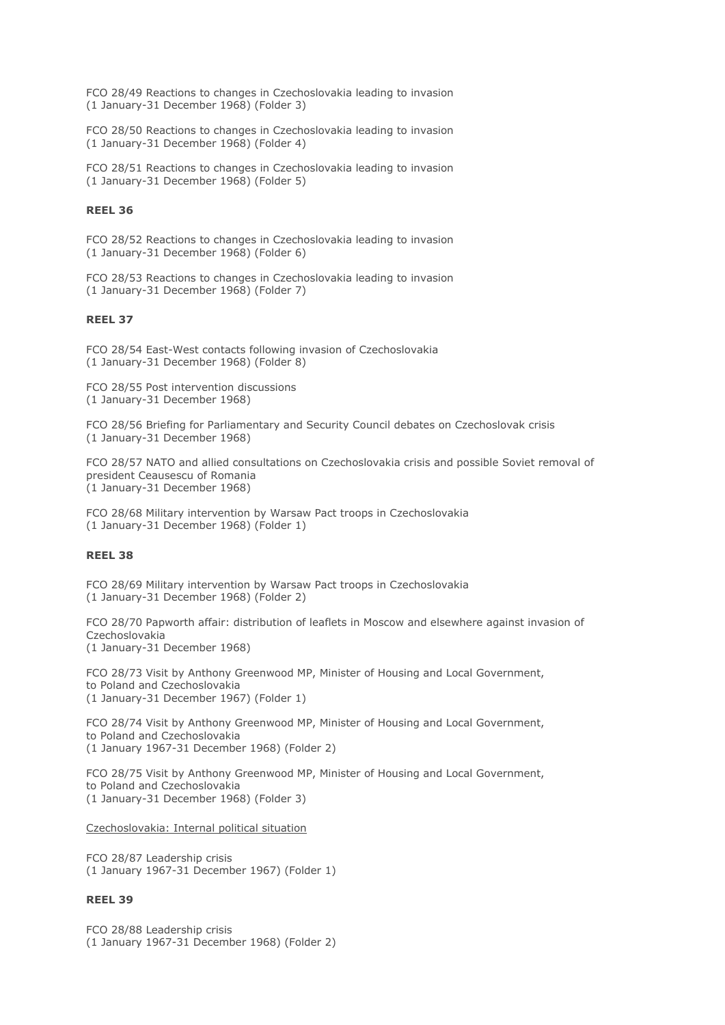FCO 28/49 Reactions to changes in Czechoslovakia leading to invasion (1 January-31 December 1968) (Folder 3)

FCO 28/50 Reactions to changes in Czechoslovakia leading to invasion (1 January-31 December 1968) (Folder 4)

FCO 28/51 Reactions to changes in Czechoslovakia leading to invasion (1 January-31 December 1968) (Folder 5)

## **REEL 36**

FCO 28/52 Reactions to changes in Czechoslovakia leading to invasion (1 January-31 December 1968) (Folder 6)

FCO 28/53 Reactions to changes in Czechoslovakia leading to invasion (1 January-31 December 1968) (Folder 7)

## **REEL 37**

FCO 28/54 East-West contacts following invasion of Czechoslovakia (1 January-31 December 1968) (Folder 8)

FCO 28/55 Post intervention discussions (1 January-31 December 1968)

FCO 28/56 Briefing for Parliamentary and Security Council debates on Czechoslovak crisis (1 January-31 December 1968)

FCO 28/57 NATO and allied consultations on Czechoslovakia crisis and possible Soviet removal of president Ceausescu of Romania (1 January-31 December 1968)

FCO 28/68 Military intervention by Warsaw Pact troops in Czechoslovakia (1 January-31 December 1968) (Folder 1)

## **REEL 38**

FCO 28/69 Military intervention by Warsaw Pact troops in Czechoslovakia (1 January-31 December 1968) (Folder 2)

FCO 28/70 Papworth affair: distribution of leaflets in Moscow and elsewhere against invasion of Czechoslovakia (1 January-31 December 1968)

FCO 28/73 Visit by Anthony Greenwood MP, Minister of Housing and Local Government, to Poland and Czechoslovakia (1 January-31 December 1967) (Folder 1)

FCO 28/74 Visit by Anthony Greenwood MP, Minister of Housing and Local Government, to Poland and Czechoslovakia (1 January 1967-31 December 1968) (Folder 2)

FCO 28/75 Visit by Anthony Greenwood MP, Minister of Housing and Local Government, to Poland and Czechoslovakia (1 January-31 December 1968) (Folder 3)

Czechoslovakia: Internal political situation

FCO 28/87 Leadership crisis (1 January 1967-31 December 1967) (Folder 1)

## **REEL 39**

FCO 28/88 Leadership crisis (1 January 1967-31 December 1968) (Folder 2)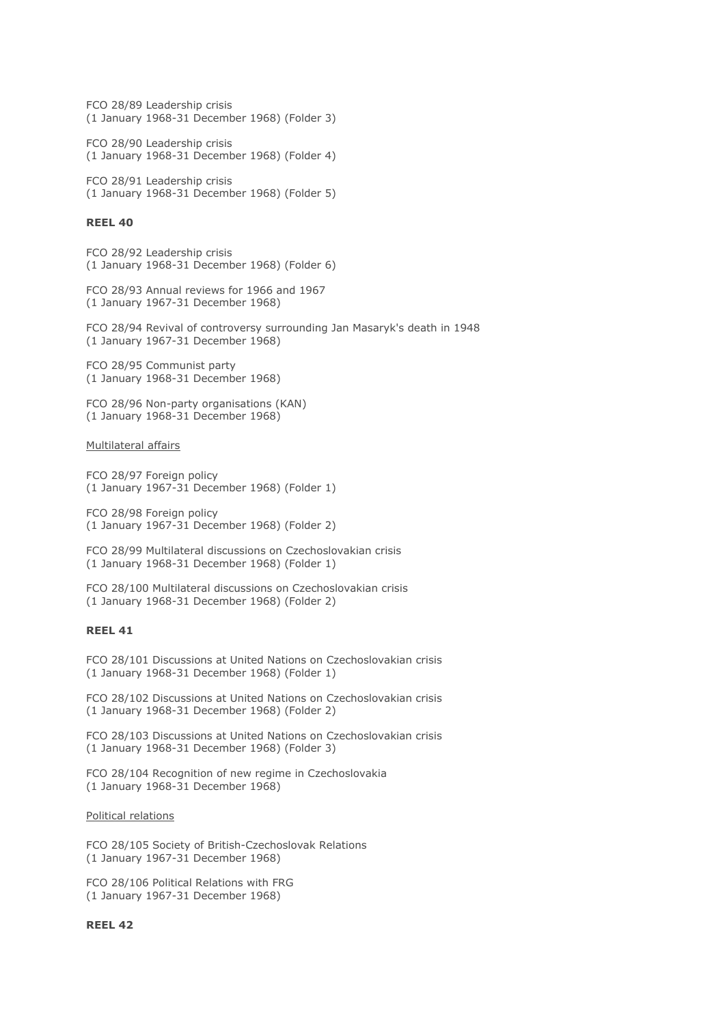FCO 28/89 Leadership crisis (1 January 1968-31 December 1968) (Folder 3)

FCO 28/90 Leadership crisis (1 January 1968-31 December 1968) (Folder 4)

FCO 28/91 Leadership crisis (1 January 1968-31 December 1968) (Folder 5)

#### **REEL 40**

FCO 28/92 Leadership crisis (1 January 1968-31 December 1968) (Folder 6)

FCO 28/93 Annual reviews for 1966 and 1967 (1 January 1967-31 December 1968)

FCO 28/94 Revival of controversy surrounding Jan Masaryk's death in 1948 (1 January 1967-31 December 1968)

FCO 28/95 Communist party (1 January 1968-31 December 1968)

FCO 28/96 Non-party organisations (KAN) (1 January 1968-31 December 1968)

Multilateral affairs

FCO 28/97 Foreign policy (1 January 1967-31 December 1968) (Folder 1)

FCO 28/98 Foreign policy (1 January 1967-31 December 1968) (Folder 2)

FCO 28/99 Multilateral discussions on Czechoslovakian crisis (1 January 1968-31 December 1968) (Folder 1)

FCO 28/100 Multilateral discussions on Czechoslovakian crisis (1 January 1968-31 December 1968) (Folder 2)

#### **REEL 41**

FCO 28/101 Discussions at United Nations on Czechoslovakian crisis (1 January 1968-31 December 1968) (Folder 1)

FCO 28/102 Discussions at United Nations on Czechoslovakian crisis (1 January 1968-31 December 1968) (Folder 2)

FCO 28/103 Discussions at United Nations on Czechoslovakian crisis (1 January 1968-31 December 1968) (Folder 3)

FCO 28/104 Recognition of new regime in Czechoslovakia (1 January 1968-31 December 1968)

Political relations

FCO 28/105 Society of British-Czechoslovak Relations (1 January 1967-31 December 1968)

FCO 28/106 Political Relations with FRG (1 January 1967-31 December 1968)

## **REEL 42**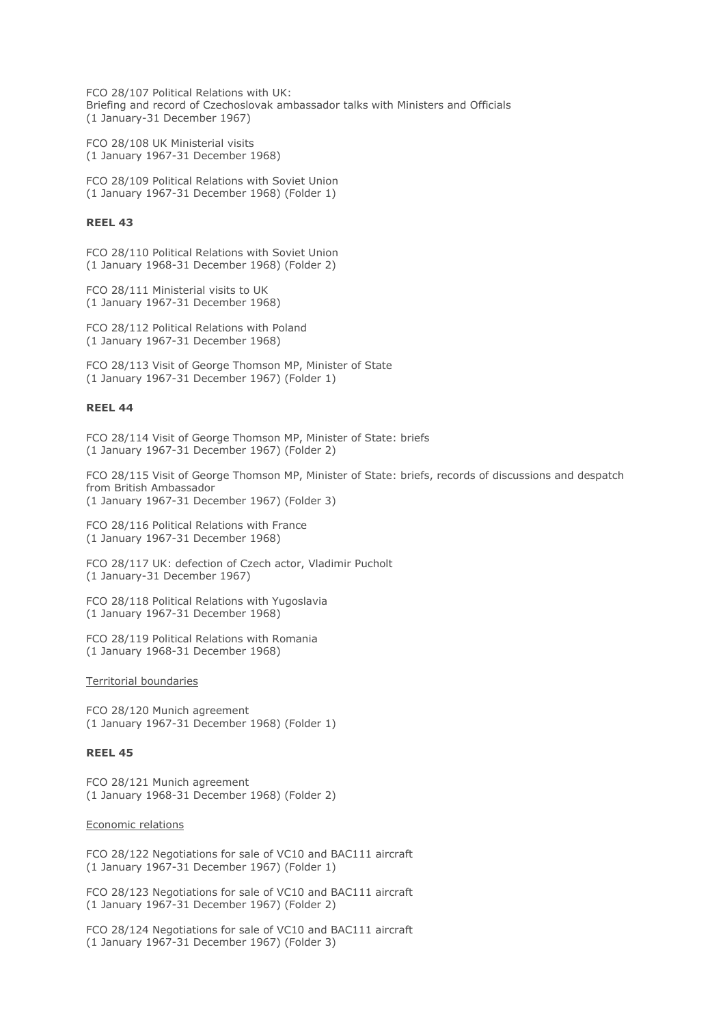FCO 28/107 Political Relations with UK: Briefing and record of Czechoslovak ambassador talks with Ministers and Officials (1 January-31 December 1967)

FCO 28/108 UK Ministerial visits (1 January 1967-31 December 1968)

FCO 28/109 Political Relations with Soviet Union (1 January 1967-31 December 1968) (Folder 1)

## **REEL 43**

FCO 28/110 Political Relations with Soviet Union (1 January 1968-31 December 1968) (Folder 2)

FCO 28/111 Ministerial visits to UK (1 January 1967-31 December 1968)

FCO 28/112 Political Relations with Poland (1 January 1967-31 December 1968)

FCO 28/113 Visit of George Thomson MP, Minister of State (1 January 1967-31 December 1967) (Folder 1)

## **REEL 44**

FCO 28/114 Visit of George Thomson MP, Minister of State: briefs (1 January 1967-31 December 1967) (Folder 2)

FCO 28/115 Visit of George Thomson MP, Minister of State: briefs, records of discussions and despatch from British Ambassador (1 January 1967-31 December 1967) (Folder 3)

FCO 28/116 Political Relations with France (1 January 1967-31 December 1968)

FCO 28/117 UK: defection of Czech actor, Vladimir Pucholt (1 January-31 December 1967)

FCO 28/118 Political Relations with Yugoslavia (1 January 1967-31 December 1968)

FCO 28/119 Political Relations with Romania (1 January 1968-31 December 1968)

Territorial boundaries

FCO 28/120 Munich agreement (1 January 1967-31 December 1968) (Folder 1)

## **REEL 45**

FCO 28/121 Munich agreement (1 January 1968-31 December 1968) (Folder 2)

Economic relations

FCO 28/122 Negotiations for sale of VC10 and BAC111 aircraft (1 January 1967-31 December 1967) (Folder 1)

FCO 28/123 Negotiations for sale of VC10 and BAC111 aircraft (1 January 1967-31 December 1967) (Folder 2)

FCO 28/124 Negotiations for sale of VC10 and BAC111 aircraft (1 January 1967-31 December 1967) (Folder 3)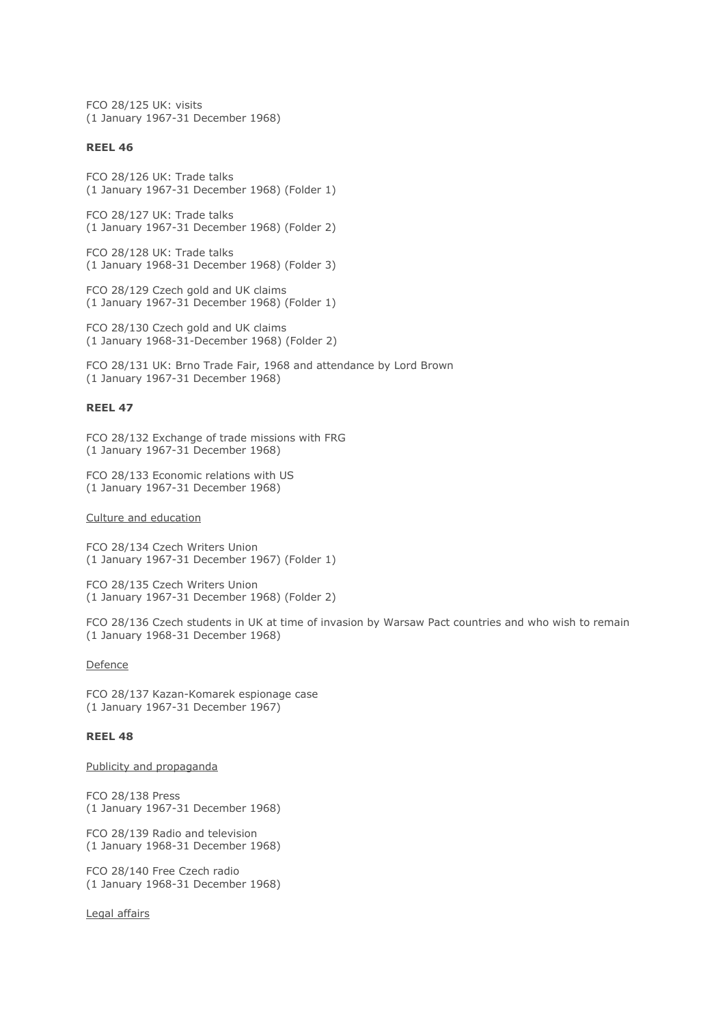FCO 28/125 UK: visits (1 January 1967-31 December 1968)

## **REEL 46**

FCO 28/126 UK: Trade talks (1 January 1967-31 December 1968) (Folder 1)

FCO 28/127 UK: Trade talks (1 January 1967-31 December 1968) (Folder 2)

FCO 28/128 UK: Trade talks (1 January 1968-31 December 1968) (Folder 3)

FCO 28/129 Czech gold and UK claims (1 January 1967-31 December 1968) (Folder 1)

FCO 28/130 Czech gold and UK claims (1 January 1968-31-December 1968) (Folder 2)

FCO 28/131 UK: Brno Trade Fair, 1968 and attendance by Lord Brown (1 January 1967-31 December 1968)

## **REEL 47**

FCO 28/132 Exchange of trade missions with FRG (1 January 1967-31 December 1968)

FCO 28/133 Economic relations with US (1 January 1967-31 December 1968)

#### Culture and education

FCO 28/134 Czech Writers Union (1 January 1967-31 December 1967) (Folder 1)

FCO 28/135 Czech Writers Union (1 January 1967-31 December 1968) (Folder 2)

FCO 28/136 Czech students in UK at time of invasion by Warsaw Pact countries and who wish to remain (1 January 1968-31 December 1968)

#### **Defence**

FCO 28/137 Kazan-Komarek espionage case (1 January 1967-31 December 1967)

## **REEL 48**

Publicity and propaganda

FCO 28/138 Press (1 January 1967-31 December 1968)

FCO 28/139 Radio and television (1 January 1968-31 December 1968)

FCO 28/140 Free Czech radio (1 January 1968-31 December 1968)

Legal affairs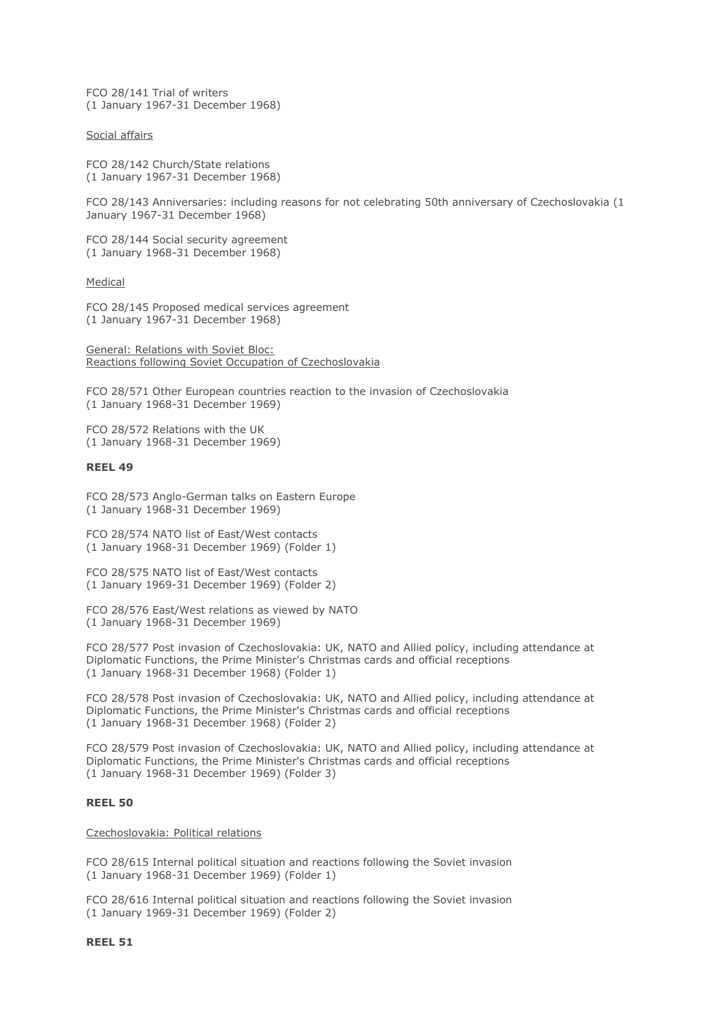FCO 28/141 Trial of writers (1 January 1967-31 December 1968)

Social affairs

FCO 28/142 Church/State relations (1 January 1967-31 December 1968)

FCO 28/143 Anniversaries: including reasons for not celebrating 50th anniversary of Czechoslovakia (1 January 1967-31 December 1968)

FCO 28/144 Social security agreement (1 January 1968-31 December 1968)

Medical

FCO 28/145 Proposed medical services agreement (1 January 1967-31 December 1968)

General: Relations with Soviet Bloc: Reactions following Soviet Occupation of Czechoslovakia

FCO 28/571 Other European countries reaction to the invasion of Czechoslovakia (1 January 1968-31 December 1969)

FCO 28/572 Relations with the UK (1 January 1968-31 December 1969)

#### **REEL 49**

FCO 28/573 Anglo-German talks on Eastern Europe (1 January 1968-31 December 1969)

FCO 28/574 NATO list of East/West contacts (1 January 1968-31 December 1969) (Folder 1)

FCO 28/575 NATO list of East/West contacts (1 January 1969-31 December 1969) (Folder 2)

FCO 28/576 East/West relations as viewed by NATO (1 January 1968-31 December 1969)

FCO 28/577 Post invasion of Czechoslovakia: UK, NATO and Allied policy, including attendance at Diplomatic Functions, the Prime Minister's Christmas cards and official receptions (1 January 1968-31 December 1968) (Folder 1)

FCO 28/578 Post invasion of Czechoslovakia: UK, NATO and Allied policy, including attendance at Diplomatic Functions, the Prime Minister's Christmas cards and official receptions (1 January 1968-31 December 1968) (Folder 2)

FCO 28/579 Post invasion of Czechoslovakia: UK, NATO and Allied policy, including attendance at Diplomatic Functions, the Prime Minister's Christmas cards and official receptions (1 January 1968-31 December 1969) (Folder 3)

## **REEL 50**

Czechoslovakia: Political relations

FCO 28/615 Internal political situation and reactions following the Soviet invasion (1 January 1968-31 December 1969) (Folder 1)

FCO 28/616 Internal political situation and reactions following the Soviet invasion (1 January 1969-31 December 1969) (Folder 2)

**REEL 51**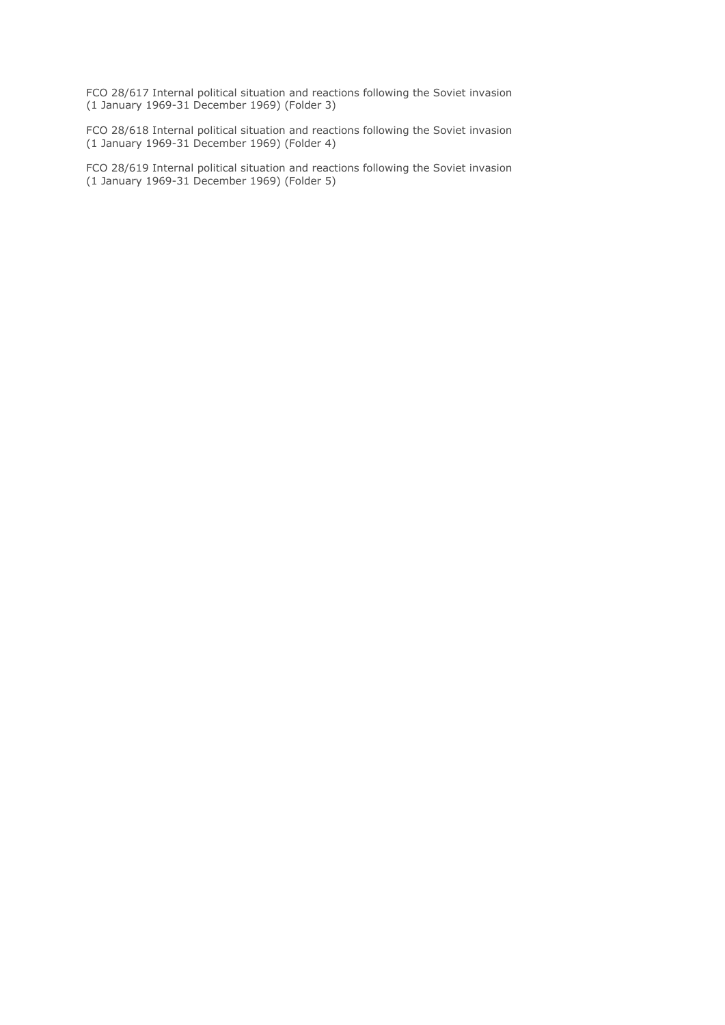FCO 28/617 Internal political situation and reactions following the Soviet invasion (1 January 1969-31 December 1969) (Folder 3)

FCO 28/618 Internal political situation and reactions following the Soviet invasion (1 January 1969-31 December 1969) (Folder 4)

FCO 28/619 Internal political situation and reactions following the Soviet invasion (1 January 1969-31 December 1969) (Folder 5)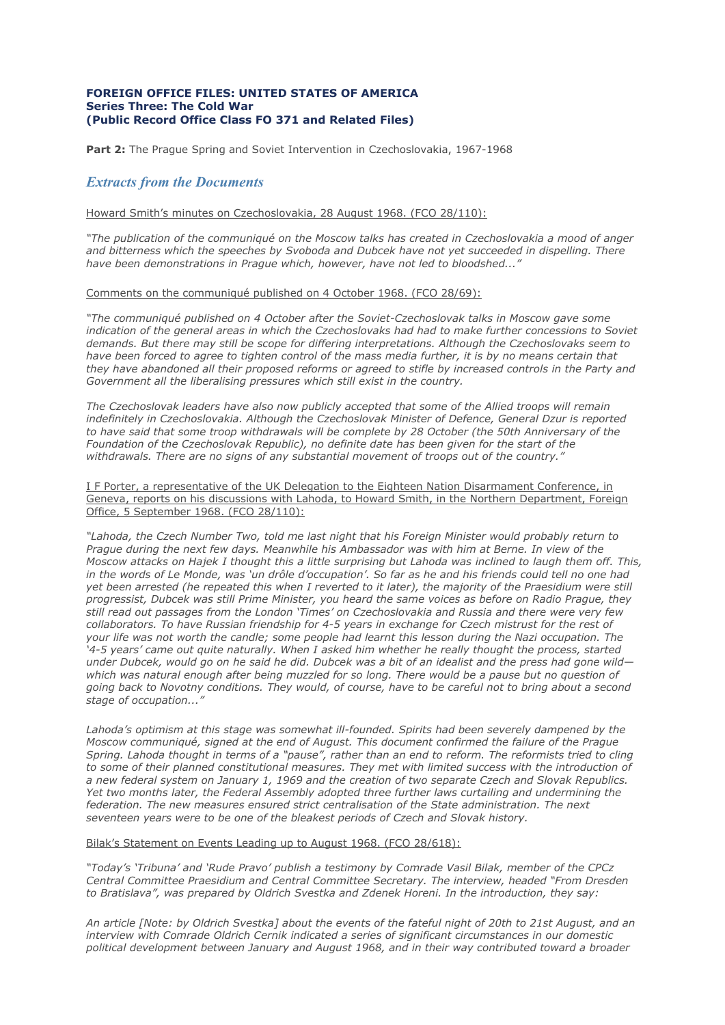## **FOREIGN OFFICE FILES: UNITED STATES OF AMERICA Series Three: The Cold War (Public Record Office Class FO 371 and Related Files)**

Part 2: The Praque Spring and Soviet Intervention in Czechoslovakia, 1967-1968

# *Extracts from the Documents*

# Howard Smith's minutes on Czechoslovakia, 28 August 1968. (FCO 28/110):

*"The publication of the communiqué on the Moscow talks has created in Czechoslovakia a mood of anger and bitterness which the speeches by Svoboda and Dubcek have not yet succeeded in dispelling. There have been demonstrations in Prague which, however, have not led to bloodshed..."*

#### Comments on the communiqué published on 4 October 1968. (FCO 28/69):

*"The communiqué published on 4 October after the Soviet-Czechoslovak talks in Moscow gave some indication of the general areas in which the Czechoslovaks had had to make further concessions to Soviet demands. But there may still be scope for differing interpretations. Although the Czechoslovaks seem to have been forced to agree to tighten control of the mass media further, it is by no means certain that they have abandoned all their proposed reforms or agreed to stifle by increased controls in the Party and Government all the liberalising pressures which still exist in the country.*

*The Czechoslovak leaders have also now publicly accepted that some of the Allied troops will remain indefinitely in Czechoslovakia. Although the Czechoslovak Minister of Defence, General Dzur is reported to have said that some troop withdrawals will be complete by 28 October (the 50th Anniversary of the Foundation of the Czechoslovak Republic), no definite date has been given for the start of the withdrawals. There are no signs of any substantial movement of troops out of the country."*

I F Porter, a representative of the UK Delegation to the Eighteen Nation Disarmament Conference, in Geneva, reports on his discussions with Lahoda, to Howard Smith, in the Northern Department, Foreign Office, 5 September 1968. (FCO 28/110):

*"Lahoda, the Czech Number Two, told me last night that his Foreign Minister would probably return to Prague during the next few days. Meanwhile his Ambassador was with him at Berne. In view of the Moscow attacks on Hajek I thought this a little surprising but Lahoda was inclined to laugh them off. This, in the words of Le Monde, was 'un drôle d'occupation'. So far as he and his friends could tell no one had yet been arrested (he repeated this when I reverted to it later), the majority of the Praesidium were still progressist, Dubcek was still Prime Minister, you heard the same voices as before on Radio Prague, they still read out passages from the London 'Times' on Czechoslovakia and Russia and there were very few collaborators. To have Russian friendship for 4-5 years in exchange for Czech mistrust for the rest of your life was not worth the candle; some people had learnt this lesson during the Nazi occupation. The '4-5 years' came out quite naturally. When I asked him whether he really thought the process, started under Dubcek, would go on he said he did. Dubcek was a bit of an idealist and the press had gone wild which was natural enough after being muzzled for so long. There would be a pause but no question of going back to Novotny conditions. They would, of course, have to be careful not to bring about a second stage of occupation..."* 

Lahoda's optimism at this stage was somewhat ill-founded. Spirits had been severely dampened by the *Moscow communiqué, signed at the end of August. This document confirmed the failure of the Prague Spring. Lahoda thought in terms of a "pause", rather than an end to reform. The reformists tried to cling to some of their planned constitutional measures. They met with limited success with the introduction of a new federal system on January 1, 1969 and the creation of two separate Czech and Slovak Republics. Yet two months later, the Federal Assembly adopted three further laws curtailing and undermining the federation. The new measures ensured strict centralisation of the State administration. The next seventeen years were to be one of the bleakest periods of Czech and Slovak history.*

#### Bilak's Statement on Events Leading up to August 1968. (FCO 28/618):

*"Today's 'Tribuna' and 'Rude Pravo' publish a testimony by Comrade Vasil Bilak, member of the CPCz Central Committee Praesidium and Central Committee Secretary. The interview, headed "From Dresden to Bratislava", was prepared by Oldrich Svestka and Zdenek Horeni. In the introduction, they say:*

*An article [Note: by Oldrich Svestka] about the events of the fateful night of 20th to 21st August, and an interview with Comrade Oldrich Cernik indicated a series of significant circumstances in our domestic political development between January and August 1968, and in their way contributed toward a broader*